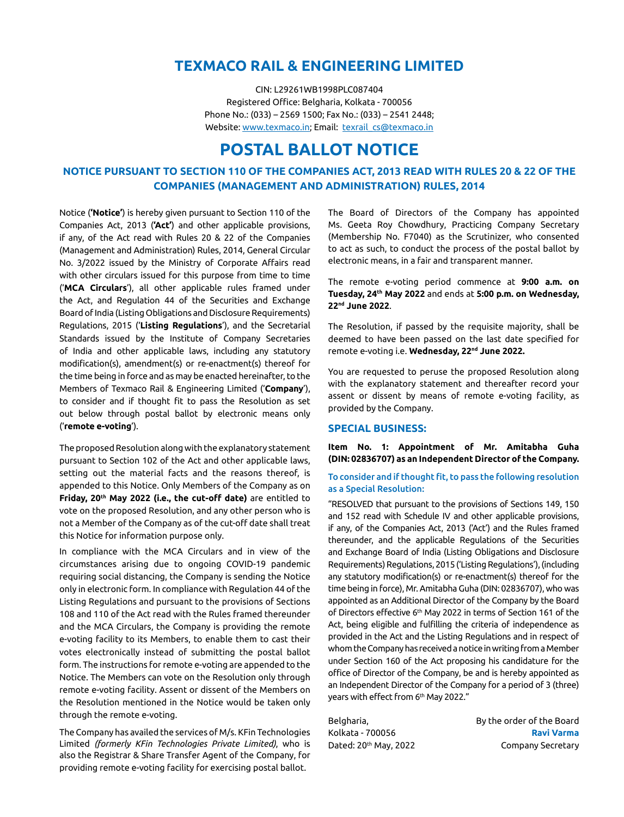# **TEXMACO RAIL & ENGINEERING LIMITED**

CIN: L29261WB1998PLC087404 Registered Office: Belgharia, Kolkata - 700056 Phone No.: (033) – 2569 1500; Fax No.: (033) – 2541 2448; Website: [www.texmaco.in;](http://www.texmaco.in) Email: texrail\_cs@texmaco.in

# **POSTAL BALLOT NOTICE**

# **NOTICE PURSUANT TO SECTION 110 OF THE COMPANIES ACT, 2013 READ WITH RULES 20 & 22 OF THE COMPANIES (MANAGEMENT AND ADMINISTRATION) RULES, 2014**

Notice (**'Notice'**) is hereby given pursuant to Section 110 of the Companies Act, 2013 (**'Act'**) and other applicable provisions, if any, of the Act read with Rules 20 & 22 of the Companies (Management and Administration) Rules, 2014, General Circular No. 3/2022 issued by the Ministry of Corporate Affairs read with other circulars issued for this purpose from time to time ('**MCA Circulars**'), all other applicable rules framed under the Act, and Regulation 44 of the Securities and Exchange Board of India (Listing Obligations and Disclosure Requirements) Regulations, 2015 ('**Listing Regulations**'), and the Secretarial Standards issued by the Institute of Company Secretaries of India and other applicable laws, including any statutory modification(s), amendment(s) or re-enactment(s) thereof for the time being in force and as may be enacted hereinafter, to the Members of Texmaco Rail & Engineering Limited ('**Company**'), to consider and if thought fit to pass the Resolution as set out below through postal ballot by electronic means only ('**remote e-voting**').

The proposed Resolution along with the explanatory statement pursuant to Section 102 of the Act and other applicable laws, setting out the material facts and the reasons thereof, is appended to this Notice. Only Members of the Company as on **Friday, 20th May 2022 (i.e., the cut-off date)** are entitled to vote on the proposed Resolution, and any other person who is not a Member of the Company as of the cut-off date shall treat this Notice for information purpose only.

In compliance with the MCA Circulars and in view of the circumstances arising due to ongoing COVID-19 pandemic requiring social distancing, the Company is sending the Notice only in electronic form. In compliance with Regulation 44 of the Listing Regulations and pursuant to the provisions of Sections 108 and 110 of the Act read with the Rules framed thereunder and the MCA Circulars, the Company is providing the remote e-voting facility to its Members, to enable them to cast their votes electronically instead of submitting the postal ballot form. The instructions for remote e-voting are appended to the Notice. The Members can vote on the Resolution only through remote e-voting facility. Assent or dissent of the Members on the Resolution mentioned in the Notice would be taken only through the remote e-voting.

The Company has availed the services of M/s. KFin Technologies Limited *(formerly KFin Technologies Private Limited)*, who is also the Registrar & Share Transfer Agent of the Company, for providing remote e-voting facility for exercising postal ballot.

The Board of Directors of the Company has appointed Ms. Geeta Roy Chowdhury, Practicing Company Secretary (Membership No. F7040) as the Scrutinizer, who consented to act as such, to conduct the process of the postal ballot by electronic means, in a fair and transparent manner.

The remote e-voting period commence at **9:00 a.m. on Tuesday, 24th May 2022** and ends at **5:00 p.m. on Wednesday, 22nd June 2022**.

The Resolution, if passed by the requisite majority, shall be deemed to have been passed on the last date specified for remote e-voting i.e. **Wednesday, 22nd June 2022.**

You are requested to peruse the proposed Resolution along with the explanatory statement and thereafter record your assent or dissent by means of remote e-voting facility, as provided by the Company.

#### **SPECIAL BUSINESS:**

**Item No. 1: Appointment of Mr. Amitabha Guha (DIN: 02836707) as an Independent Director of the Company.**

### To consider and if thought fit, to pass the following resolution as a Special Resolution:

"RESOLVED that pursuant to the provisions of Sections 149, 150 and 152 read with Schedule IV and other applicable provisions, if any, of the Companies Act, 2013 ('Act') and the Rules framed thereunder, and the applicable Regulations of the Securities and Exchange Board of India (Listing Obligations and Disclosure Requirements) Regulations, 2015 ('Listing Regulations'), (including any statutory modification(s) or re-enactment(s) thereof for the time being in force), Mr. Amitabha Guha (DIN: 02836707), who was appointed as an Additional Director of the Company by the Board of Directors effective 6<sup>th</sup> May 2022 in terms of Section 161 of the Act, being eligible and fulfilling the criteria of independence as provided in the Act and the Listing Regulations and in respect of whom the Company has received a notice in writing from a Member under Section 160 of the Act proposing his candidature for the office of Director of the Company, be and is hereby appointed as an Independent Director of the Company for a period of 3 (three) years with effect from 6<sup>th</sup> May 2022."

| Belgharia,            | By the order of the Board |
|-----------------------|---------------------------|
| Kolkata - 700056      | <b>Ravi Varma</b>         |
| Dated: 20th May. 2022 | Company Secretary         |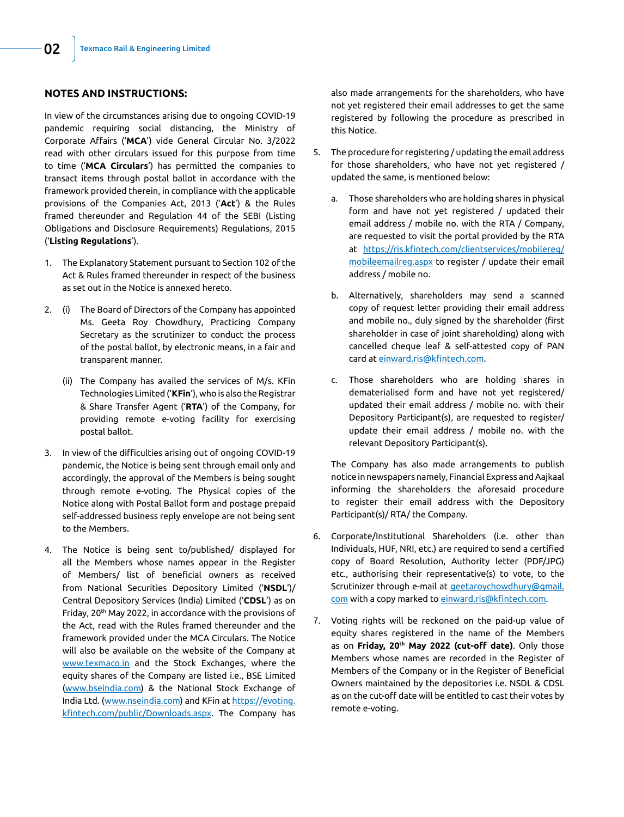# **NOTES AND INSTRUCTIONS:**

In view of the circumstances arising due to ongoing COVID-19 pandemic requiring social distancing, the Ministry of Corporate Affairs ('**MCA**') vide General Circular No. 3/2022 read with other circulars issued for this purpose from time to time ('**MCA Circulars**') has permitted the companies to transact items through postal ballot in accordance with the framework provided therein, in compliance with the applicable provisions of the Companies Act, 2013 ('**Act**') & the Rules framed thereunder and Regulation 44 of the SEBI (Listing Obligations and Disclosure Requirements) Regulations, 2015 ('**Listing Regulations**').

- 1. The Explanatory Statement pursuant to Section 102 of the Act & Rules framed thereunder in respect of the business as set out in the Notice is annexed hereto.
- 2. (i) The Board of Directors of the Company has appointed Ms. Geeta Roy Chowdhury, Practicing Company Secretary as the scrutinizer to conduct the process of the postal ballot, by electronic means, in a fair and transparent manner.
	- (ii) The Company has availed the services of M/s. KFin Technologies Limited ('**KFin**'), who is also the Registrar & Share Transfer Agent ('**RTA**') of the Company, for providing remote e-voting facility for exercising postal ballot.
- 3. In view of the difficulties arising out of ongoing COVID-19 pandemic, the Notice is being sent through email only and accordingly, the approval of the Members is being sought through remote e-voting. The Physical copies of the Notice along with Postal Ballot form and postage prepaid self-addressed business reply envelope are not being sent to the Members.
- 4. The Notice is being sent to/published/ displayed for all the Members whose names appear in the Register of Members/ list of beneficial owners as received from National Securities Depository Limited ('**NSDL**')/ Central Depository Services (India) Limited ('**CDSL**') as on Friday, 20th May 2022, in accordance with the provisions of the Act, read with the Rules framed thereunder and the framework provided under the MCA Circulars. The Notice will also be available on the website of the Company at www.texmaco.in and the Stock Exchanges, where the equity shares of the Company are listed i.e., BSE Limited (www.bseindia.com) & the National Stock Exchange of India Ltd. (www.nseindia.com) and KFin at [https://evoting.](https://evoting.kfintech.com/public/Downloads.aspx) [kfintech.com/public/Downloads.aspx.](https://evoting.kfintech.com/public/Downloads.aspx) The Company has

also made arrangements for the shareholders, who have not yet registered their email addresses to get the same registered by following the procedure as prescribed in this Notice.

- 5. The procedure for registering / updating the email address for those shareholders, who have not yet registered / updated the same, is mentioned below:
	- a. Those shareholders who are holding shares in physical form and have not yet registered / updated their email address / mobile no. with the RTA / Company, are requested to visit the portal provided by the RTA at [https://ris.kfintech.com/clientservices/mobilereg/](https://ris.kfintech.com/clientservices/mobilereg/mobileemailreg.aspx) [mobileemailreg.aspx](https://ris.kfintech.com/clientservices/mobilereg/mobileemailreg.aspx) to register / update their email address / mobile no.
	- b. Alternatively, shareholders may send a scanned copy of request letter providing their email address and mobile no., duly signed by the shareholder (first shareholder in case of joint shareholding) along with cancelled cheque leaf & self-attested copy of PAN card at einward.ris@kfintech.com.
	- c. Those shareholders who are holding shares in dematerialised form and have not yet registered/ updated their email address / mobile no. with their Depository Participant(s), are requested to register/ update their email address / mobile no. with the relevant Depository Participant(s).

The Company has also made arrangements to publish notice in newspapers namely, Financial Express and Aajkaal informing the shareholders the aforesaid procedure to register their email address with the Depository Participant(s)/ RTA/ the Company.

- 6. Corporate/Institutional Shareholders (i.e. other than Individuals, HUF, NRI, etc.) are required to send a certified copy of Board Resolution, Authority letter (PDF/JPG) etc., authorising their representative(s) to vote, to the Scrutinizer through e-mail at *[geetaroychowdhury@gmail.](mailto:geetaroychowdhury%40gmail.com?subject=)* [com](mailto:geetaroychowdhury%40gmail.com?subject=) with a copy marked to einward.ris@kfintech.com.
- 7. Voting rights will be reckoned on the paid-up value of equity shares registered in the name of the Members as on **Friday, 20th May 2022 (cut-off date)**. Only those Members whose names are recorded in the Register of Members of the Company or in the Register of Beneficial Owners maintained by the depositories i.e. NSDL & CDSL as on the cut-off date will be entitled to cast their votes by remote e-voting.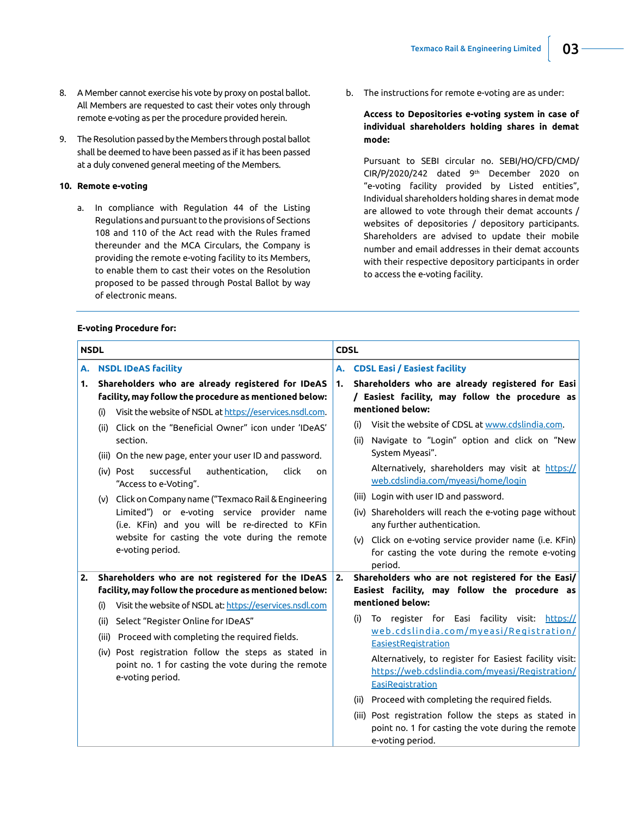- 8. A Member cannot exercise his vote by proxy on postal ballot. All Members are requested to cast their votes only through remote e-voting as per the procedure provided herein.
- 9. The Resolution passed by the Members through postal ballot shall be deemed to have been passed as if it has been passed at a duly convened general meeting of the Members.

### **10. Remote e-voting**

a. In compliance with Regulation 44 of the Listing Regulations and pursuant to the provisions of Sections 108 and 110 of the Act read with the Rules framed thereunder and the MCA Circulars, the Company is providing the remote e-voting facility to its Members, to enable them to cast their votes on the Resolution proposed to be passed through Postal Ballot by way of electronic means.

#### **E-voting Procedure for:**

b. The instructions for remote e-voting are as under:

## **Access to Depositories e-voting system in case of individual shareholders holding shares in demat mode:**

 Pursuant to SEBI circular no. SEBI/HO/CFD/CMD/ CIR/P/2020/242 dated 9th December 2020 on "e-voting facility provided by Listed entities", Individual shareholders holding shares in demat mode are allowed to vote through their demat accounts / websites of depositories / depository participants. Shareholders are advised to update their mobile number and email addresses in their demat accounts with their respective depository participants in order to access the e-voting facility.

| <b>NSDL</b> |                                                                                                                                                                                                                                                                                                                                                                                                                                                                  | <b>CDSL</b>                                                                                                                                                                                                                                                                                                                                                                                                                                                                                                                                                                          |  |
|-------------|------------------------------------------------------------------------------------------------------------------------------------------------------------------------------------------------------------------------------------------------------------------------------------------------------------------------------------------------------------------------------------------------------------------------------------------------------------------|--------------------------------------------------------------------------------------------------------------------------------------------------------------------------------------------------------------------------------------------------------------------------------------------------------------------------------------------------------------------------------------------------------------------------------------------------------------------------------------------------------------------------------------------------------------------------------------|--|
| А.          | <b>NSDL IDeAS facility</b>                                                                                                                                                                                                                                                                                                                                                                                                                                       | <b>CDSL Easi / Easiest facility</b><br>А.                                                                                                                                                                                                                                                                                                                                                                                                                                                                                                                                            |  |
| 1.          | Shareholders who are already registered for IDeAS<br>facility, may follow the procedure as mentioned below:<br>Visit the website of NSDL at https://eservices.nsdl.com.                                                                                                                                                                                                                                                                                          | Shareholders who are already registered for Easi<br>1.<br>/ Easiest facility, may follow the procedure as<br>mentioned below:                                                                                                                                                                                                                                                                                                                                                                                                                                                        |  |
|             | (i)<br>Click on the "Beneficial Owner" icon under 'IDeAS'<br>(ii)<br>section.<br>(iii) On the new page, enter your user ID and password.<br>successful<br>authentication,<br>click<br>(iv) Post<br>on<br>"Access to e-Voting".<br>(v) Click on Company name ("Texmaco Rail & Engineering<br>Limited") or e-voting service provider name<br>(i.e. KFin) and you will be re-directed to KFin<br>website for casting the vote during the remote<br>e-voting period. | Visit the website of CDSL at www.cdslindia.com.<br>(i)<br>Navigate to "Login" option and click on "New<br>(ii)<br>System Myeasi".<br>Alternatively, shareholders may visit at https://<br>web.cdslindia.com/myeasi/home/login<br>(iii) Login with user ID and password.<br>(iv) Shareholders will reach the e-voting page without<br>any further authentication.<br>(v) Click on e-voting service provider name (i.e. KFin)<br>for casting the vote during the remote e-voting<br>period.                                                                                            |  |
| 2.          | Shareholders who are not registered for the IDeAS<br>facility, may follow the procedure as mentioned below:<br>Visit the website of NSDL at: https://eservices.nsdl.com<br>(i)<br>Select "Register Online for IDeAS"<br>(ii)<br>(iii) Proceed with completing the required fields.<br>(iv) Post registration follow the steps as stated in<br>point no. 1 for casting the vote during the remote<br>e-voting period.                                             | Shareholders who are not registered for the Easi/<br>2.<br>Easiest facility, may follow the procedure as<br>mentioned below:<br>To register for Easi facility visit: https://<br>(i)<br>web.cdslindia.com/myeasi/Registration/<br><b>EasiestRegistration</b><br>Alternatively, to register for Easiest facility visit:<br>https://web.cdslindia.com/myeasi/Registration/<br>EasiRegistration<br>(ii) Proceed with completing the required fields.<br>(iii) Post registration follow the steps as stated in<br>point no. 1 for casting the vote during the remote<br>e-voting period. |  |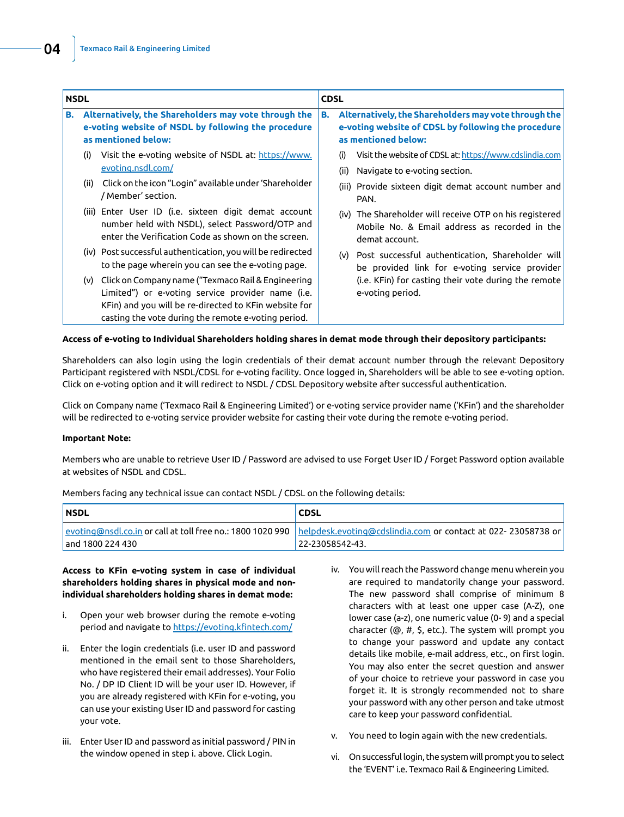| <b>NSDL</b> |                                                                                                                                    | <b>CDSL</b>                                                                                                                                                                                                             |                                                                                                                                          |             |                                                                                                                            |
|-------------|------------------------------------------------------------------------------------------------------------------------------------|-------------------------------------------------------------------------------------------------------------------------------------------------------------------------------------------------------------------------|------------------------------------------------------------------------------------------------------------------------------------------|-------------|----------------------------------------------------------------------------------------------------------------------------|
| В.          | Alternatively, the Shareholders may vote through the<br>e-voting website of NSDL by following the procedure<br>as mentioned below: |                                                                                                                                                                                                                         | Alternatively, the Shareholders may vote through the<br>В.<br>e-voting website of CDSL by following the procedure<br>as mentioned below: |             |                                                                                                                            |
|             | (i)                                                                                                                                | Visit the e-voting website of NSDL at: https://www.<br>evoting.nsdl.com/                                                                                                                                                |                                                                                                                                          | (i)<br>(ii) | Visit the website of CDSL at: https://www.cdslindia.com<br>Navigate to e-voting section.                                   |
|             | (ii)                                                                                                                               | Click on the icon "Login" available under 'Shareholder<br>/ Member' section.                                                                                                                                            |                                                                                                                                          | (iii)       | Provide sixteen digit demat account number and<br>PAN.                                                                     |
|             |                                                                                                                                    | (iii) Enter User ID (i.e. sixteen digit demat account<br>number held with NSDL), select Password/OTP and<br>enter the Verification Code as shown on the screen.                                                         |                                                                                                                                          |             | (iv) The Shareholder will receive OTP on his registered<br>Mobile No. & Email address as recorded in the<br>demat account. |
|             |                                                                                                                                    | (iv) Post successful authentication, you will be redirected<br>to the page wherein you can see the e-voting page.                                                                                                       |                                                                                                                                          | (v)         | Post successful authentication, Shareholder will<br>be provided link for e-voting service provider                         |
|             | (v)                                                                                                                                | Click on Company name ("Texmaco Rail & Engineering<br>Limited") or e-voting service provider name (i.e.<br>KFin) and you will be re-directed to KFin website for<br>casting the vote during the remote e-voting period. |                                                                                                                                          |             | (i.e. KFin) for casting their vote during the remote<br>e-voting period.                                                   |

#### **Access of e-voting to Individual Shareholders holding shares in demat mode through their depository participants:**

Shareholders can also login using the login credentials of their demat account number through the relevant Depository Participant registered with NSDL/CDSL for e-voting facility. Once logged in, Shareholders will be able to see e-voting option. Click on e-voting option and it will redirect to NSDL / CDSL Depository website after successful authentication.

Click on Company name ('Texmaco Rail & Engineering Limited') or e-voting service provider name ('KFin') and the shareholder will be redirected to e-voting service provider website for casting their vote during the remote e-voting period.

#### **Important Note:**

Members who are unable to retrieve User ID / Password are advised to use Forget User ID / Forget Password option available at websites of NSDL and CDSL.

| members rading any coemneat issue can concace rispley about on the rottowing accalls. |                                                                                                                           |  |  |
|---------------------------------------------------------------------------------------|---------------------------------------------------------------------------------------------------------------------------|--|--|
| <b>NSDL</b>                                                                           | <b>CDSL</b>                                                                                                               |  |  |
|                                                                                       | evoting@nsdl.co.in or call at toll free no.: 1800 1020 990   helpdesk.evoting@cdslindia.com or contact at 022-23058738 or |  |  |
| and 1800 224 430                                                                      | 22-23058542-43.                                                                                                           |  |  |

Members facing any technical issue can contact NSDL / CDSL on the following details:

**Access to KFin e-voting system in case of individual shareholders holding shares in physical mode and nonindividual shareholders holding shares in demat mode:**

- i. Open your web browser during the remote e-voting period and navigate to https://evoting.kfintech.com/
- ii. Enter the login credentials (i.e. user ID and password mentioned in the email sent to those Shareholders, who have registered their email addresses). Your Folio No. / DP ID Client ID will be your user ID. However, if you are already registered with KFin for e-voting, you can use your existing User ID and password for casting your vote.
- iii. Enter User ID and password as initial password / PIN in the window opened in step i. above. Click Login.
- iv. You will reach the Password change menu wherein you are required to mandatorily change your password. The new password shall comprise of minimum 8 characters with at least one upper case (A-Z), one lower case (a-z), one numeric value (0- 9) and a special character (@, #, \$, etc.). The system will prompt you to change your password and update any contact details like mobile, e-mail address, etc., on first login. You may also enter the secret question and answer of your choice to retrieve your password in case you forget it. It is strongly recommended not to share your password with any other person and take utmost care to keep your password confidential.
- v. You need to login again with the new credentials.
- vi. On successful login, the system will prompt you to select the 'EVENT' i.e. Texmaco Rail & Engineering Limited.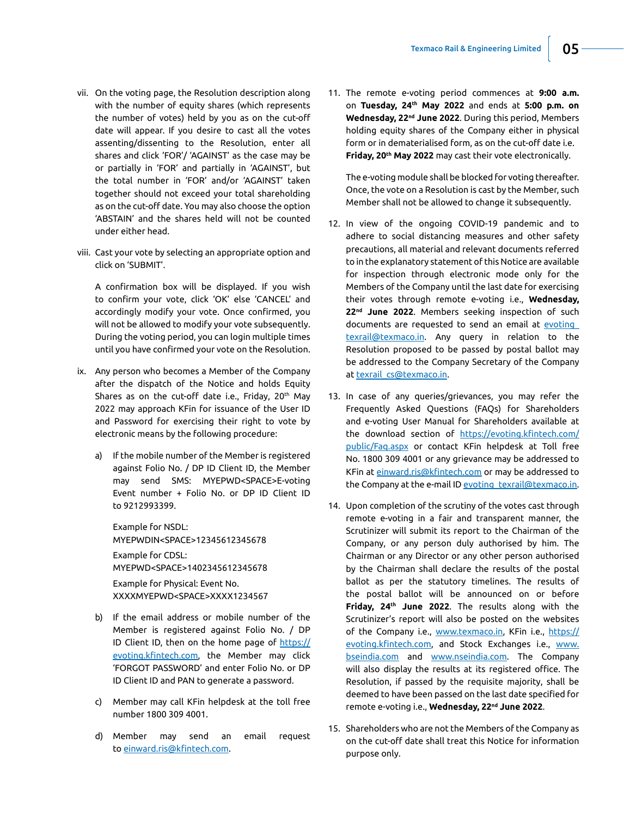- vii. On the voting page, the Resolution description along with the number of equity shares (which represents the number of votes) held by you as on the cut-off date will appear. If you desire to cast all the votes assenting/dissenting to the Resolution, enter all shares and click 'FOR'/ 'AGAINST' as the case may be or partially in 'FOR' and partially in 'AGAINST', but the total number in 'FOR' and/or 'AGAINST' taken together should not exceed your total shareholding as on the cut-off date. You may also choose the option 'ABSTAIN' and the shares held will not be counted under either head.
- viii. Cast your vote by selecting an appropriate option and click on 'SUBMIT'.

 A confirmation box will be displayed. If you wish to confirm your vote, click 'OK' else 'CANCEL' and accordingly modify your vote. Once confirmed, you will not be allowed to modify your vote subsequently. During the voting period, you can login multiple times until you have confirmed your vote on the Resolution.

- ix. Any person who becomes a Member of the Company after the dispatch of the Notice and holds Equity Shares as on the cut-off date i.e., Friday, 20<sup>th</sup> May 2022 may approach KFin for issuance of the User ID and Password for exercising their right to vote by electronic means by the following procedure:
	- a) If the mobile number of the Member is registered against Folio No. / DP ID Client ID, the Member may send SMS: MYEPWD<SPACE>E-voting Event number + Folio No. or DP ID Client ID to 9212993399.

 Example for NSDL: MYEPWDIN<SPACE>12345612345678 Example for CDSL:

MYEPWD<SPACE>1402345612345678

 Example for Physical: Event No. XXXXMYEPWD<SPACE>XXXX1234567

- b) If the email address or mobile number of the Member is registered against Folio No. / DP ID Client ID, then on the home page of https:// evoting.kfintech.com, the Member may click 'FORGOT PASSWORD' and enter Folio No. or DP ID Client ID and PAN to generate a password.
- c) Member may call KFin helpdesk at the toll free number 1800 309 4001.
- d) Member may send an email request to [einward.ris@kfintech.com](mailto:einward.ris@kfintech.com).

11. The remote e-voting period commences at **9:00 a.m.** on **Tuesday, 24th May 2022** and ends at **5:00 p.m. on Wednesday, 22nd June 2022**. During this period, Members holding equity shares of the Company either in physical form or in dematerialised form, as on the cut-off date i.e. **Friday, 20th May 2022** may cast their vote electronically.

The e-voting module shall be blocked for voting thereafter. Once, the vote on a Resolution is cast by the Member, such Member shall not be allowed to change it subsequently.

- 12. In view of the ongoing COVID-19 pandemic and to adhere to social distancing measures and other safety precautions, all material and relevant documents referred to in the explanatory statement of this Notice are available for inspection through electronic mode only for the Members of the Company until the last date for exercising their votes through remote e-voting i.e., **Wednesday, 22nd June 2022**. Members seeking inspection of such documents are requested to send an email at [evoting\\_](mailto:evoting_texrail@texmaco.in) [texrail@texmaco.in](mailto:evoting_texrail@texmaco.in). Any query in relation to the Resolution proposed to be passed by postal ballot may be addressed to the Company Secretary of the Company at [texrail\\_cs@texmaco.in.](mailto:texrail_cs@texmaco.in)
- 13. In case of any queries/grievances, you may refer the Frequently Asked Questions (FAQs) for Shareholders and e-voting User Manual for Shareholders available at the download section of [https://evoting.kfintech.com/](https://evoting.kfintech.com/public/Faq.aspx) [public/Faq.aspx](https://evoting.kfintech.com/public/Faq.aspx) or contact KFin helpdesk at Toll free No. 1800 309 4001 or any grievance may be addressed to KFin at einward.ris@kfintech.com or may be addressed to the Company at the e-mail ID evoting\_texrail@texmaco.in.
- 14. Upon completion of the scrutiny of the votes cast through remote e-voting in a fair and transparent manner, the Scrutinizer will submit its report to the Chairman of the Company, or any person duly authorised by him. The Chairman or any Director or any other person authorised by the Chairman shall declare the results of the postal ballot as per the statutory timelines. The results of the postal ballot will be announced on or before **Friday, 24th June 2022**. The results along with the Scrutinizer's report will also be posted on the websites of the Company i.e., www.texmaco.in, KFin i.e., [https://](https://evoting.kfintech.com) [evoting.kfintech.com,](https://evoting.kfintech.com) and Stock Exchanges i.e., www. bseindia.com and www.nseindia.com. The Company will also display the results at its registered office. The Resolution, if passed by the requisite majority, shall be deemed to have been passed on the last date specified for remote e-voting i.e., **Wednesday, 22nd June 2022**.
- 15. Shareholders who are not the Members of the Company as on the cut-off date shall treat this Notice for information purpose only.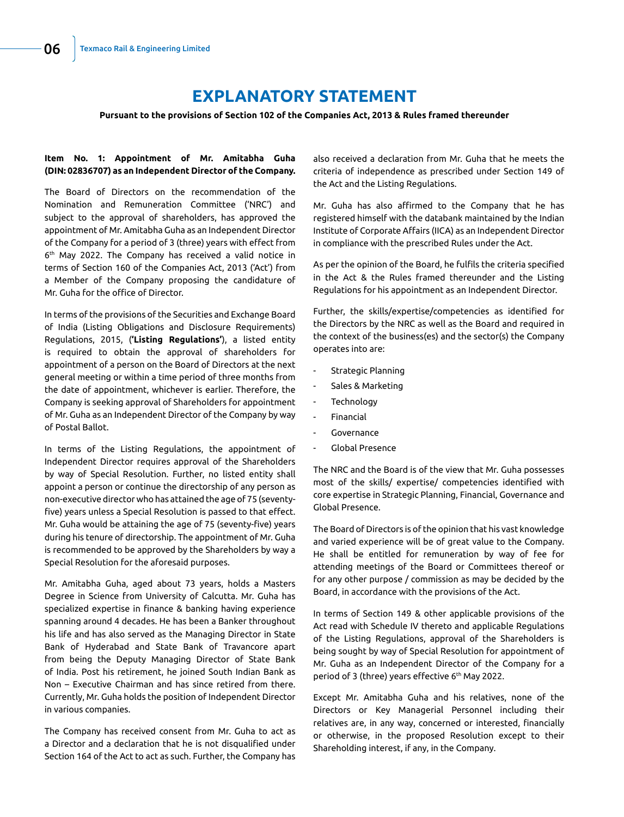# **EXPLANATORY STATEMENT**

**Pursuant to the provisions of Section 102 of the Companies Act, 2013 & Rules framed thereunder**

## **Item No. 1: Appointment of Mr. Amitabha Guha (DIN: 02836707) as an Independent Director of the Company.**

The Board of Directors on the recommendation of the Nomination and Remuneration Committee ('NRC') and subject to the approval of shareholders, has approved the appointment of Mr. Amitabha Guha as an Independent Director of the Company for a period of 3 (three) years with effect from 6<sup>th</sup> May 2022. The Company has received a valid notice in terms of Section 160 of the Companies Act, 2013 ('Act') from a Member of the Company proposing the candidature of Mr. Guha for the office of Director.

In terms of the provisions of the Securities and Exchange Board of India (Listing Obligations and Disclosure Requirements) Regulations, 2015, (**'Listing Regulations'**), a listed entity is required to obtain the approval of shareholders for appointment of a person on the Board of Directors at the next general meeting or within a time period of three months from the date of appointment, whichever is earlier. Therefore, the Company is seeking approval of Shareholders for appointment of Mr. Guha as an Independent Director of the Company by way of Postal Ballot.

In terms of the Listing Regulations, the appointment of Independent Director requires approval of the Shareholders by way of Special Resolution. Further, no listed entity shall appoint a person or continue the directorship of any person as non-executive director who has attained the age of 75 (seventyfive) years unless a Special Resolution is passed to that effect. Mr. Guha would be attaining the age of 75 (seventy-five) years during his tenure of directorship. The appointment of Mr. Guha is recommended to be approved by the Shareholders by way a Special Resolution for the aforesaid purposes.

Mr. Amitabha Guha, aged about 73 years, holds a Masters Degree in Science from University of Calcutta. Mr. Guha has specialized expertise in finance & banking having experience spanning around 4 decades. He has been a Banker throughout his life and has also served as the Managing Director in State Bank of Hyderabad and State Bank of Travancore apart from being the Deputy Managing Director of State Bank of India. Post his retirement, he joined South Indian Bank as Non – Executive Chairman and has since retired from there. Currently, Mr. Guha holds the position of Independent Director in various companies.

The Company has received consent from Mr. Guha to act as a Director and a declaration that he is not disqualified under Section 164 of the Act to act as such. Further, the Company has

also received a declaration from Mr. Guha that he meets the criteria of independence as prescribed under Section 149 of the Act and the Listing Regulations.

Mr. Guha has also affirmed to the Company that he has registered himself with the databank maintained by the Indian Institute of Corporate Affairs (IICA) as an Independent Director in compliance with the prescribed Rules under the Act.

As per the opinion of the Board, he fulfils the criteria specified in the Act & the Rules framed thereunder and the Listing Regulations for his appointment as an Independent Director.

Further, the skills/expertise/competencies as identified for the Directors by the NRC as well as the Board and required in the context of the business(es) and the sector(s) the Company operates into are:

- Strategic Planning
- Sales & Marketing
- **Technology**
- **Financial**
- **Governance**
- Global Presence

The NRC and the Board is of the view that Mr. Guha possesses most of the skills/ expertise/ competencies identified with core expertise in Strategic Planning, Financial, Governance and Global Presence.

The Board of Directors is of the opinion that his vast knowledge and varied experience will be of great value to the Company. He shall be entitled for remuneration by way of fee for attending meetings of the Board or Committees thereof or for any other purpose / commission as may be decided by the Board, in accordance with the provisions of the Act.

In terms of Section 149 & other applicable provisions of the Act read with Schedule IV thereto and applicable Regulations of the Listing Regulations, approval of the Shareholders is being sought by way of Special Resolution for appointment of Mr. Guha as an Independent Director of the Company for a period of 3 (three) years effective 6<sup>th</sup> May 2022.

Except Mr. Amitabha Guha and his relatives, none of the Directors or Key Managerial Personnel including their relatives are, in any way, concerned or interested, financially or otherwise, in the proposed Resolution except to their Shareholding interest, if any, in the Company.